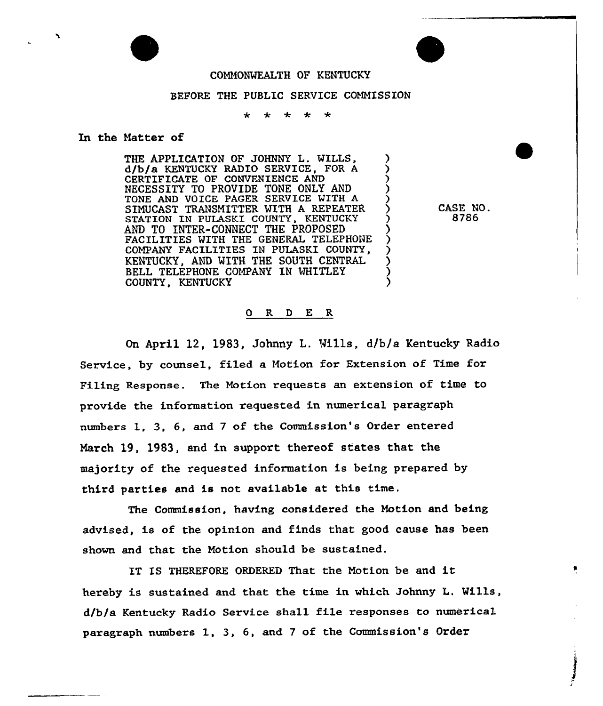

## COMMONWEALTH OF KENTUCKY

## BEFORE THE PUBLIC SERVICE COMMISSION

## In the Matter of

THE APPLICATION OF JOHNNY L. WILLS, d/b/a KENTUCKY RADIO SERVICE, FOR A ) CERTIFICATE OF CONVENIENCE AND ) NECESSITY TO PROVIDE TONE ONLY AND TONE AND VOICE PAGER SERVICE WITH A SIMUCAST TRANSMITTER WITH A REPEATER STATION IN PULASKI COUNTY, KENTUCKY AND TO INTER-CONNECT THE PROPOSED FACILITIES WITH THE GENERAL TELEPHONE COMPANY FACILITIES IN PULASKI COUNTY, KENTUCKY. AND WITH THE SOUTH CENTRAL BELL TELEPHONE COMPANY IN WHITLEY COUNTY, KENTUCKY

CASE NO. 8786

## 0 R <sup>D</sup> E R

On April 12, 1983, Johnny L, Mills, d/b/a Kentucky Radio Service, by counsel, filed a Motion for Extension of Time for Filing Response. The Motion requests an extension of time to provide the information requested in numerical paragraph numbers 1, 3, 6, and 7 of the Commission's Order entered March 19, 1983, and in support thereof states that the majority of the requested information is being prepared by third parties and is not availab1e at this time.

The Commission, having considered the Motion and being advised, is of the opinion and finds that good cause has been shown and that the Motion should be sustained.

IT IS THEREFORE ORDERED That the Motion be and it hereby is sustained and that the time in which Johnny L. Wills, d/b/a Kentucky Radio Service shall file responses to numerical paragraph numbers 1, 3, 6, and <sup>7</sup> of the Commission's Order